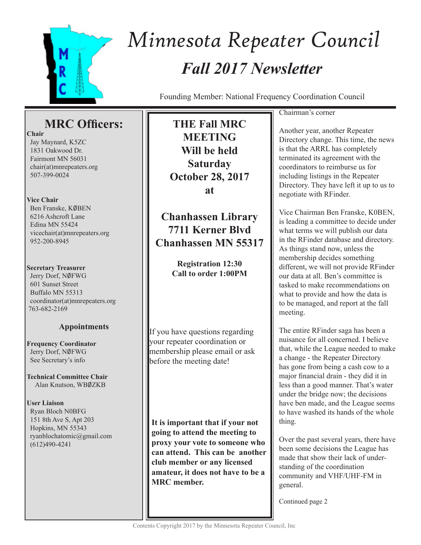

# *Fall 2017 Newsletter Minnesota Repeater Council*

Founding Member: National Frequency Coordination Council

# **MRC Officers:**

**Chair**

 Jay Maynard, K5ZC 1831 Oakwood Dr. Fairmont MN 56031 chair(at)mnrepeaters.org 507-399-0024

# **Vice Chair**

Ben Franske, KØBEN 6216 Ashcroft Lane Edina MN 55424 vicechair(at)mnrepeaters.org 952-200-8945

# **Secretary Treasurer**

Jerry Dorf, NØFWG 601 Sunset Street Buffalo MN 55313 coordinator(at)mnrepeaters.org 763-682-2169

# **Appointments**

**Frequency Coordinator** Jerry Dorf, NØFWG See Secretary's info

**Technical Committee Chair** Alan Knutson, WB0ZKB

**User Liaison** Ryan Bloch N0BFG 151 8th Ave S, Apt 203 Hopkins, MN 55343 ryanblochatomic@gmail.com (612)490-4241

**THE Fall MRC MEETING Will be held Saturday October 28, 2017 at** 

**Chanhassen Library 7711 Kerner Blvd Chanhassen MN 55317**

> **Registration 12:30 Call to order 1:00PM**

If you have questions regarding your repeater coordination or membership please email or ask before the meeting date!

**It is important that if your not going to attend the meeting to proxy your vote to someone who can attend. This can be another club member or any licensed amateur, it does not have to be a MRC member.**

### Chairman's corner

Another year, another Repeater Directory change. This time, the news is that the ARRL has completely terminated its agreement with the coordinators to reimburse us for including listings in the Repeater Directory. They have left it up to us to negotiate with RFinder.

Vice Chairman Ben Franske, K0BEN, is leading a committee to decide under what terms we will publish our data in the RFinder database and directory. As things stand now, unless the membership decides something different, we will not provide RFinder our data at all. Ben's committee is tasked to make recommendations on what to provide and how the data is to be managed, and report at the fall meeting.

The entire RFinder saga has been a nuisance for all concerned. I believe that, while the League needed to make a change - the Repeater Directory has gone from being a cash cow to a major financial drain - they did it in less than a good manner. That's water under the bridge now; the decisions have ben made, and the League seems to have washed its hands of the whole thing.

Over the past several years, there have been some decisions the League has made that show their lack of understanding of the coordination community and VHF/UHF-FM in general.

Continued page 2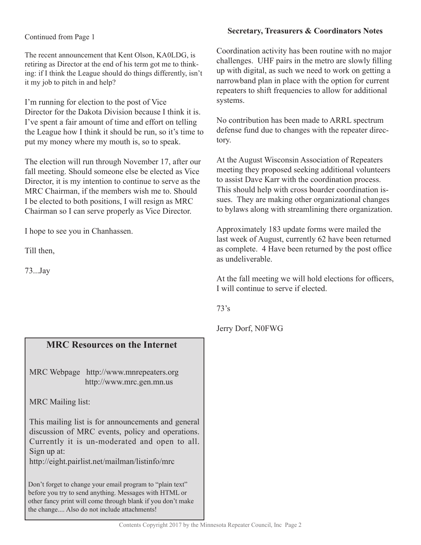# **Secretary, Treasurers & Coordinators Notes**

### Continued from Page 1

The recent announcement that Kent Olson, KA0LDG, is retiring as Director at the end of his term got me to thinking: if I think the League should do things differently, isn't it my job to pitch in and help?

I'm running for election to the post of Vice Director for the Dakota Division because I think it is. I've spent a fair amount of time and effort on telling the League how I think it should be run, so it's time to put my money where my mouth is, so to speak.

The election will run through November 17, after our fall meeting. Should someone else be elected as Vice Director, it is my intention to continue to serve as the MRC Chairman, if the members wish me to. Should I be elected to both positions, I will resign as MRC Chairman so I can serve properly as Vice Director.

I hope to see you in Chanhassen.

Till then,

73...Jay

# **MRC Resources on the Internet**

MRC Webpage http://www.mnrepeaters.org http://www.mrc.gen.mn.us

MRC Mailing list:

This mailing list is for announcements and general discussion of MRC events, policy and operations. Currently it is un-moderated and open to all. Sign up at:

http://eight.pairlist.net/mailman/listinfo/mrc

Don't forget to change your email program to "plain text" before you try to send anything. Messages with HTML or other fancy print will come through blank if you don't make the change.... Also do not include attachments!

Coordination activity has been routine with no major challenges. UHF pairs in the metro are slowly filling up with digital, as such we need to work on getting a narrowband plan in place with the option for current repeaters to shift frequencies to allow for additional systems.

No contribution has been made to ARRL spectrum defense fund due to changes with the repeater directory.

At the August Wisconsin Association of Repeaters meeting they proposed seeking additional volunteers to assist Dave Karr with the coordination process. This should help with cross boarder coordination issues. They are making other organizational changes to bylaws along with streamlining there organization.

Approximately 183 update forms were mailed the last week of August, currently 62 have been returned as complete. 4 Have been returned by the post office as undeliverable.

At the fall meeting we will hold elections for officers, I will continue to serve if elected.

73's

Jerry Dorf, N0FWG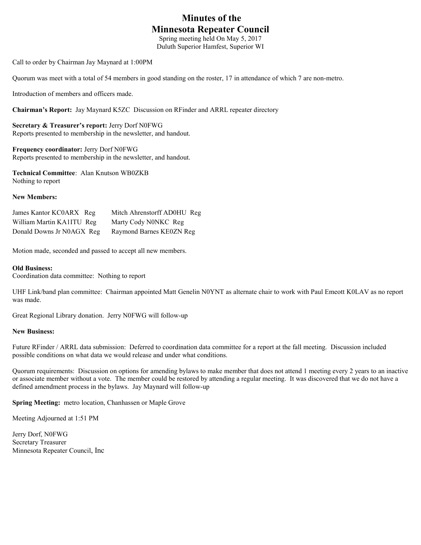# **Minutes of the Minnesota Repeater Council**

Spring meeting held On May 5, 2017 Duluth Superior Hamfest, Superior WI

Call to order by Chairman Jay Maynard at 1:00PM

Quorum was meet with a total of 54 members in good standing on the roster, 17 in attendance of which 7 are non-metro.

Introduction of members and officers made.

**Chairman's Report:** Jay Maynard K5ZC Discussion on RFinder and ARRL repeater directory

**Secretary & Treasurer's report:** Jerry Dorf N0FWG Reports presented to membership in the newsletter, and handout.

**Frequency coordinator:** Jerry Dorf N0FWG Reports presented to membership in the newsletter, and handout.

**Technical Committee**: Alan Knutson WB0ZKB Nothing to report

#### **New Members:**

| James Kantor KC0ARX Reg   | Mitch Ahrenstorff AD0HU Reg |
|---------------------------|-----------------------------|
| William Martin KA1ITU Reg | Marty Cody N0NKC Reg        |
| Donald Downs Jr N0AGX Reg | Raymond Barnes KE0ZN Reg    |

Motion made, seconded and passed to accept all new members.

### **Old Business:**

Coordination data committee: Nothing to report

UHF Link/band plan committee: Chairman appointed Matt Genelin N0YNT as alternate chair to work with Paul Emeott K0LAV as no report was made.

Great Regional Library donation. Jerry N0FWG will follow-up

#### **New Business:**

Future RFinder / ARRL data submission: Deferred to coordination data committee for a report at the fall meeting. Discussion included possible conditions on what data we would release and under what conditions.

Quorum requirements: Discussion on options for amending bylaws to make member that does not attend 1 meeting every 2 years to an inactive or associate member without a vote. The member could be restored by attending a regular meeting. It was discovered that we do not have a defined amendment process in the bylaws. Jay Maynard will follow-up

**Spring Meeting:** metro location, Chanhassen or Maple Grove

Meeting Adjourned at 1:51 PM

Jerry Dorf, N0FWG Secretary Treasurer Minnesota Repeater Council, Inc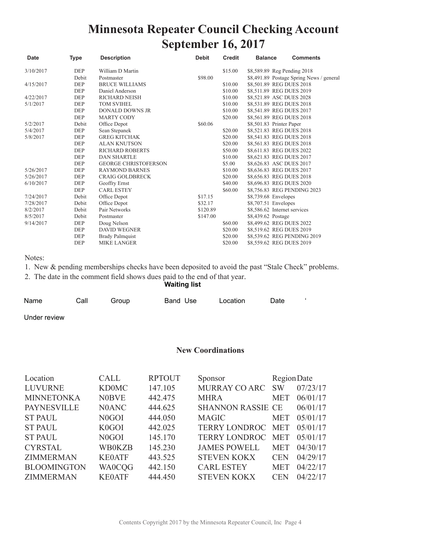# **Minnesota Repeater Council Checking Account September 16, 2017**

| <b>Date</b> | <b>Type</b> | <b>Description</b>                                     | <b>Debit</b> | <b>Credit</b>                            | <b>Balance</b>               | <b>Comments</b>             |
|-------------|-------------|--------------------------------------------------------|--------------|------------------------------------------|------------------------------|-----------------------------|
| 3/10/2017   | <b>DEP</b>  | William D Martin                                       |              | \$15.00                                  | \$8,589.89 Reg Pending 2018  |                             |
|             | Debit       | \$98.00<br>Postmaster                                  |              | \$8,491.89 Postage Spring News / general |                              |                             |
| 4/15/2017   | DEP         | <b>BRUCE WILLIAMS</b>                                  |              | \$10.00                                  | \$8,501.89 REG DUES 2018     |                             |
|             | <b>DEP</b>  | \$8,511.89 REG DUES 2019<br>\$10.00<br>Daniel Anderson |              |                                          |                              |                             |
| 4/22/2017   | <b>DEP</b>  | <b>RICHARD NEISH</b>                                   |              | \$10.00                                  | \$8,521.89 ASC DUES 2028     |                             |
| 5/1/2017    | DEP         | <b>TOM SVIHEL</b>                                      |              | \$10.00                                  | \$8,531.89 REG DUES 2018     |                             |
|             | <b>DEP</b>  | <b>DONALD DOWNS JR</b>                                 |              | \$10.00                                  | \$8,541.89 REG DUES 2017     |                             |
|             | <b>DEP</b>  | <b>MARTY CODY</b>                                      |              | \$20.00                                  | \$8,561.89 REG DUES 2018     |                             |
| 5/2/2017    | Debit       | Office Depot                                           | \$60.06      |                                          | \$8,501.83 Printer Paper     |                             |
| 5/4/2017    | DEP         | Sean Stepanek                                          |              | \$20.00                                  | \$8,521.83 REG DUES 2018     |                             |
| 5/8/2017    | <b>DEP</b>  | <b>GREG KITCHAK</b>                                    |              | \$20.00                                  | \$8,541.83 REG DUES 2018     |                             |
|             | <b>DEP</b>  | <b>ALAN KNUTSON</b>                                    |              | \$20.00                                  | \$8,561.83 REG DUES 2018     |                             |
|             | <b>DEP</b>  | <b>RICHARD ROBERTS</b>                                 |              | \$50.00                                  | \$8,611.83 REG DUES 2022     |                             |
|             | <b>DEP</b>  | <b>DAN SHARTLE</b>                                     |              | \$10.00                                  | \$8,621.83 REG DUES 2017     |                             |
|             | <b>DEP</b>  | <b>GEORGE CHRISTOFERSON</b>                            |              | \$5.00                                   | \$8,626.83 ASC DUES 2017     |                             |
| 5/26/2017   | <b>DEP</b>  | <b>RAYMOND BARNES</b>                                  |              | \$10.00                                  | \$8,636.83 REG DUES 2017     |                             |
| 5/26/2017   | <b>DEP</b>  | <b>CRAIG GOLDBRECK</b>                                 |              | \$20.00                                  | \$8,656.83 REG DUES 2018     |                             |
| 6/10/2017   | <b>DEP</b>  | Geoffry Ernst                                          |              | \$40.00                                  | \$8,696.83 REG DUES 2020     |                             |
|             | <b>DEP</b>  | <b>CARL ESTEY</b>                                      |              | \$60.00                                  |                              | \$8,756.83 REG PENDING 2023 |
| 7/24/2017   | Debit       | Office Depot                                           | \$17.15      |                                          | \$8,739.68 Envelopes         |                             |
| 7/28/2017   | Debit       | Office Depot                                           | \$32.17      |                                          | \$8,707.51 Envelopes         |                             |
| 8/2/2017    | Debit       | Pair Networks                                          | \$120.89     |                                          | \$8,586.62 Internet services |                             |
| 8/5/2017    | Debit       | Postmaster                                             | \$147.00     |                                          | \$8,439.62 Postage           |                             |
| 9/14/2017   | <b>DEP</b>  | Doug Nelson                                            |              | \$60.00                                  | \$8,499.62 REG DUES 2022     |                             |
|             | <b>DEP</b>  | <b>DAVID WEGNER</b>                                    |              | \$20.00                                  | \$8,519.62 REG DUES 2019     |                             |
|             | <b>DEP</b>  | <b>Brady Palmquist</b>                                 |              | \$20.00                                  |                              | \$8,539.62 REG PENDING 2019 |
|             | <b>DEP</b>  | <b>MIKE LANGER</b>                                     |              | \$20.00                                  | \$8,559.62 REG DUES 2019     |                             |

Notes:

1. New & pending memberships checks have been deposited to avoid the past "Stale Check" problems.

2. The date in the comment field shows dues paid to the end of that year.

### **Waiting list**

| Name | Call | Group | Band Use | Location | Date |  |
|------|------|-------|----------|----------|------|--|
| .    |      |       |          |          |      |  |

Under review

## **New Coordinations**

| Location           | <b>CALL</b>        | <b>RPTOUT</b> | Sponsor                  | Region Date |          |
|--------------------|--------------------|---------------|--------------------------|-------------|----------|
| <b>LUVURNE</b>     | <b>KD0MC</b>       | 147.105       | <b>MURRAY CO ARC</b>     | <b>SW</b>   | 07/23/17 |
| <b>MINNETONKA</b>  | <b>N0BVE</b>       | 442.475       | <b>MHRA</b>              | <b>MET</b>  | 06/01/17 |
| <b>PAYNESVILLE</b> | N0ANC              | 444.625       | <b>SHANNON RASSIE CE</b> |             | 06/01/17 |
| <b>ST PAUL</b>     | N <sub>0</sub> GOI | 444.050       | <b>MAGIC</b>             | <b>MET</b>  | 05/01/17 |
| <b>ST PAUL</b>     | K <sub>0</sub> GOI | 442.025       | <b>TERRY LONDROC</b>     | <b>MET</b>  | 05/01/17 |
| <b>ST PAUL</b>     | N <sub>0</sub> GOI | 145.170       | <b>TERRY LONDROC</b>     | <b>MET</b>  | 05/01/17 |
| <b>CYRSTAL</b>     | <b>WB0KZB</b>      | 145.230       | <b>JAMES POWELL</b>      | <b>MET</b>  | 04/30/17 |
| <b>ZIMMERMAN</b>   | <b>KE0ATF</b>      | 443.525       | <b>STEVEN KOKX</b>       | <b>CEN</b>  | 04/29/17 |
| <b>BLOOMINGTON</b> | <b>WA0CQG</b>      | 442.150       | <b>CARL ESTEY</b>        | <b>MET</b>  | 04/22/17 |
| <b>ZIMMERMAN</b>   | <b>KE0ATF</b>      | 444.450       | <b>STEVEN KOKX</b>       | <b>CEN</b>  | 04/22/17 |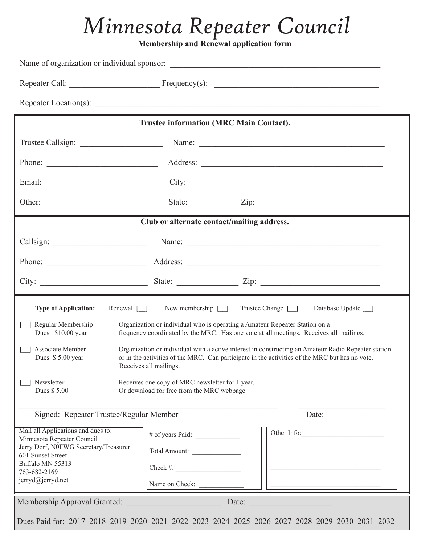# *Minnesota Repeater Council*

**Membership and Renewal application form** 

|                                                                                                                                                                    | <b>Trustee information (MRC Main Contact).</b>                                                                                                                                                                                           |                                                                                                                                                                                                                                |  |  |
|--------------------------------------------------------------------------------------------------------------------------------------------------------------------|------------------------------------------------------------------------------------------------------------------------------------------------------------------------------------------------------------------------------------------|--------------------------------------------------------------------------------------------------------------------------------------------------------------------------------------------------------------------------------|--|--|
|                                                                                                                                                                    |                                                                                                                                                                                                                                          |                                                                                                                                                                                                                                |  |  |
|                                                                                                                                                                    |                                                                                                                                                                                                                                          |                                                                                                                                                                                                                                |  |  |
|                                                                                                                                                                    |                                                                                                                                                                                                                                          |                                                                                                                                                                                                                                |  |  |
|                                                                                                                                                                    |                                                                                                                                                                                                                                          | State: $\angle$ Zip: $\angle$                                                                                                                                                                                                  |  |  |
|                                                                                                                                                                    | Club or alternate contact/mailing address.                                                                                                                                                                                               |                                                                                                                                                                                                                                |  |  |
|                                                                                                                                                                    |                                                                                                                                                                                                                                          | Callsign: Name: Name: Name: Name: Name: Name: Name: Name: Name: Name: Name: Name: Name: Name: Name: Name: Name: Name: Name: Name: Name: Name: Name: Name: Name: Name: Name: Name: Name: Name: Name: Name: Name: Name: Name: Na |  |  |
|                                                                                                                                                                    | Phone: <u>Address:</u> Address: <u>Address:</u> Address: Address: Address: Address: Address: Address: Address: Address: Address: Address: Address: Address: Address: Address: Address: Address: Address: Address: Address: Address: Addr |                                                                                                                                                                                                                                |  |  |
|                                                                                                                                                                    |                                                                                                                                                                                                                                          |                                                                                                                                                                                                                                |  |  |
|                                                                                                                                                                    |                                                                                                                                                                                                                                          |                                                                                                                                                                                                                                |  |  |
| <b>Type of Application:</b>                                                                                                                                        |                                                                                                                                                                                                                                          | Renewal [ ] New membership [ ] Trustee Change [ ]<br>Database Update [ ]                                                                                                                                                       |  |  |
| Regular Membership<br>Dues \$10.00 year                                                                                                                            |                                                                                                                                                                                                                                          | Organization or individual who is operating a Amateur Repeater Station on a<br>frequency coordinated by the MRC. Has one vote at all meetings. Receives all mailings.                                                          |  |  |
| Associate Member<br>Dues \$5.00 year                                                                                                                               | Receives all mailings.                                                                                                                                                                                                                   | Organization or individual with a active interest in constructing an Amateur Radio Repeater station<br>or in the activities of the MRC. Can participate in the activities of the MRC but has no vote.                          |  |  |
| Newsletter<br>Dues \$5.00                                                                                                                                          | Receives one copy of MRC newsletter for 1 year.<br>Or download for free from the MRC webpage                                                                                                                                             |                                                                                                                                                                                                                                |  |  |
| Signed: Repeater Trustee/Regular Member                                                                                                                            |                                                                                                                                                                                                                                          | Date:                                                                                                                                                                                                                          |  |  |
| Mail all Applications and dues to:<br>Minnesota Repeater Council<br>Jerry Dorf, N0FWG Secretary/Treasurer<br>601 Sunset Street<br>Buffalo MN 55313<br>763-682-2169 | Total Amount:<br>$Check \#:\_$                                                                                                                                                                                                           | Other Info:                                                                                                                                                                                                                    |  |  |
| jerryd@jerryd.net                                                                                                                                                  | Name on Check:                                                                                                                                                                                                                           |                                                                                                                                                                                                                                |  |  |